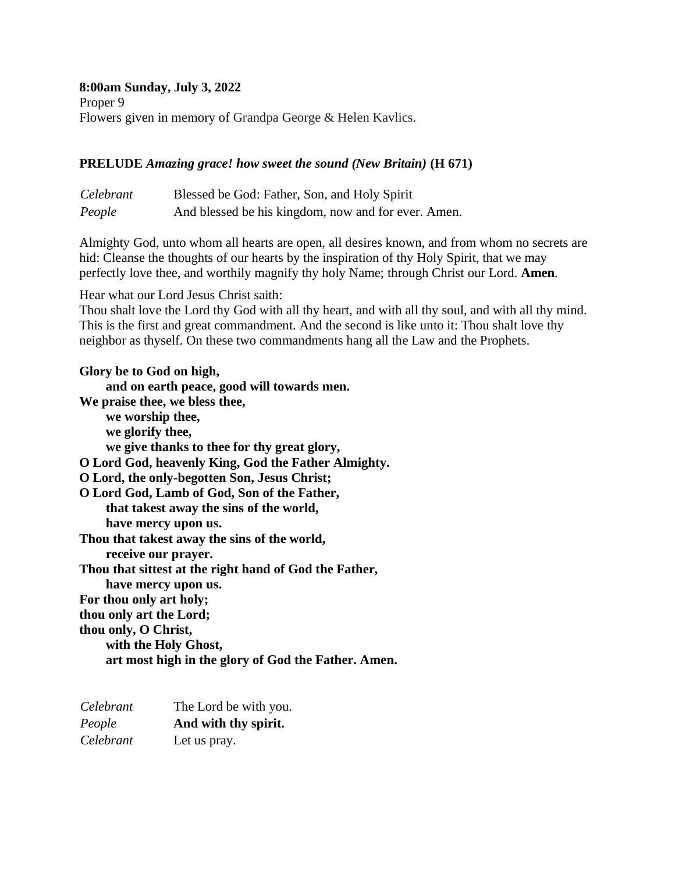# **8:00am Sunday, July 3, 2022**

Proper 9 Flowers given in memory of Grandpa George & Helen Kavlics.

### **PRELUDE** *Amazing grace! how sweet the sound (New Britain)* **(H 671)**

| Celebrant | Blessed be God: Father, Son, and Holy Spirit        |
|-----------|-----------------------------------------------------|
| People    | And blessed be his kingdom, now and for ever. Amen. |

Almighty God, unto whom all hearts are open, all desires known, and from whom no secrets are hid: Cleanse the thoughts of our hearts by the inspiration of thy Holy Spirit, that we may perfectly love thee, and worthily magnify thy holy Name; through Christ our Lord. **Amen***.*

Hear what our Lord Jesus Christ saith:

Thou shalt love the Lord thy God with all thy heart, and with all thy soul, and with all thy mind. This is the first and great commandment. And the second is like unto it: Thou shalt love thy neighbor as thyself. On these two commandments hang all the Law and the Prophets.

**Glory be to God on high, and on earth peace, good will towards men. We praise thee, we bless thee, we worship thee, we glorify thee, we give thanks to thee for thy great glory, O Lord God, heavenly King, God the Father Almighty. O Lord, the only-begotten Son, Jesus Christ; O Lord God, Lamb of God, Son of the Father, that takest away the sins of the world, have mercy upon us. Thou that takest away the sins of the world, receive our prayer. Thou that sittest at the right hand of God the Father, have mercy upon us. For thou only art holy; thou only art the Lord; thou only, O Christ, with the Holy Ghost, art most high in the glory of God the Father. Amen.**

| Celebrant | The Lord be with you. |
|-----------|-----------------------|
| People    | And with thy spirit.  |
| Celebrant | Let us pray.          |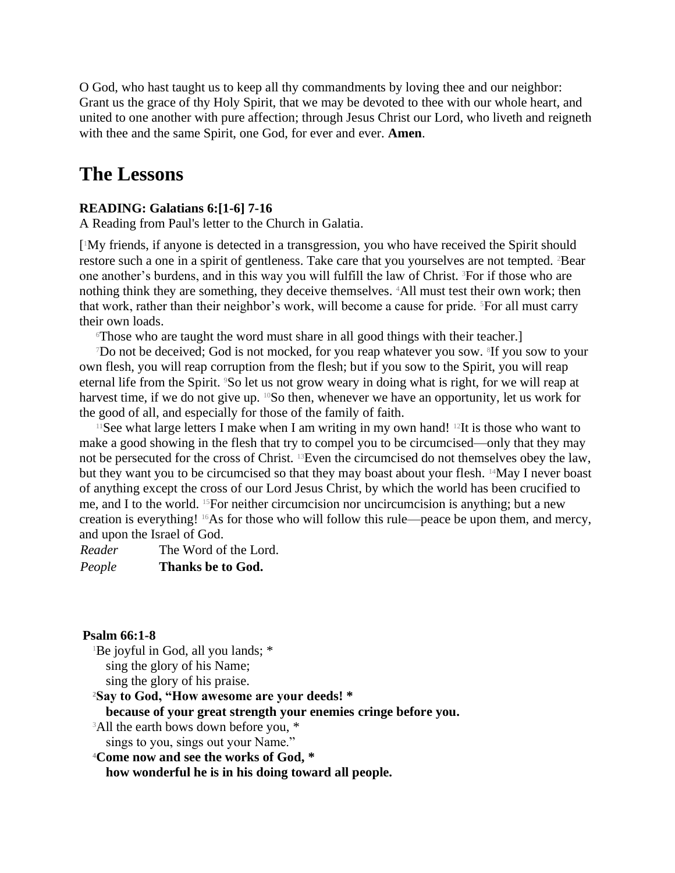O God, who hast taught us to keep all thy commandments by loving thee and our neighbor: Grant us the grace of thy Holy Spirit, that we may be devoted to thee with our whole heart, and united to one another with pure affection; through Jesus Christ our Lord, who liveth and reigneth with thee and the same Spirit, one God, for ever and ever. **Amen**.

# **The Lessons**

### **READING: Galatians 6:[1-6] 7-16**

A Reading from Paul's letter to the Church in Galatia.

[ <sup>1</sup>My friends, if anyone is detected in a transgression, you who have received the Spirit should restore such a one in a spirit of gentleness. Take care that you yourselves are not tempted. <sup>2</sup>Bear one another's burdens, and in this way you will fulfill the law of Christ. 3For if those who are nothing think they are something, they deceive themselves. 4All must test their own work; then that work, rather than their neighbor's work, will become a cause for pride. <sup>5</sup>For all must carry their own loads.

<sup>6</sup>Those who are taught the word must share in all good things with their teacher.]

<sup>7</sup>Do not be deceived; God is not mocked, for you reap whatever you sow. <sup>8</sup> If you sow to your own flesh, you will reap corruption from the flesh; but if you sow to the Spirit, you will reap eternal life from the Spirit. 9So let us not grow weary in doing what is right, for we will reap at harvest time, if we do not give up. <sup>10</sup>So then, whenever we have an opportunity, let us work for the good of all, and especially for those of the family of faith.

<sup>11</sup>See what large letters I make when I am writing in my own hand! <sup>12</sup>It is those who want to make a good showing in the flesh that try to compel you to be circumcised—only that they may not be persecuted for the cross of Christ. 13Even the circumcised do not themselves obey the law, but they want you to be circumcised so that they may boast about your flesh. <sup>14</sup>May I never boast of anything except the cross of our Lord Jesus Christ, by which the world has been crucified to me, and I to the world. 15For neither circumcision nor uncircumcision is anything; but a new creation is everything! 16As for those who will follow this rule—peace be upon them, and mercy, and upon the Israel of God.

*Reader* The Word of the Lord. *People* **Thanks be to God.**

### **Psalm 66:1-8**

<sup>1</sup>Be joyful in God, all you lands; \* sing the glory of his Name; sing the glory of his praise.

**<sup>2</sup>Say to God, "How awesome are your deeds! \* because of your great strength your enemies cringe before you.** <sup>3</sup>All the earth bows down before you,  $*$ 

sings to you, sings out your Name."

**<sup>4</sup>Come now and see the works of God, \***

**how wonderful he is in his doing toward all people.**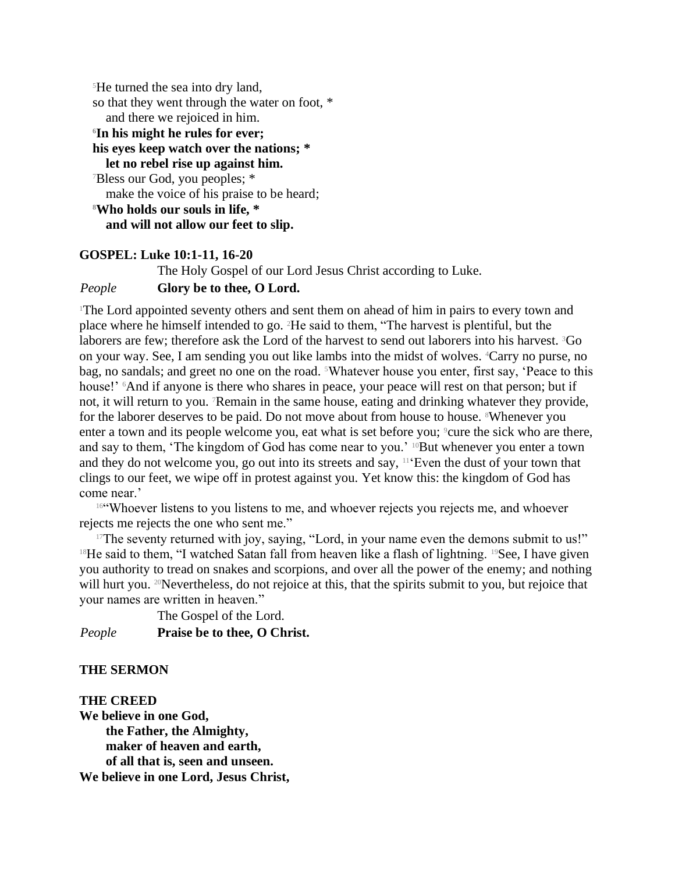<sup>5</sup>He turned the sea into dry land, so that they went through the water on foot, \* and there we rejoiced in him. **<sup>6</sup>In his might he rules for ever; his eyes keep watch over the nations; \* let no rebel rise up against him.** <sup>7</sup>Bless our God, you peoples; \* make the voice of his praise to be heard; **<sup>8</sup>Who holds our souls in life, \* and will not allow our feet to slip.**

### **GOSPEL: Luke 10:1-11, 16-20**

The Holy Gospel of our Lord Jesus Christ according to Luke.

*People* **Glory be to thee, O Lord.**

<sup>1</sup>The Lord appointed seventy others and sent them on ahead of him in pairs to every town and place where he himself intended to go. 2He said to them, "The harvest is plentiful, but the laborers are few; therefore ask the Lord of the harvest to send out laborers into his harvest. <sup>3</sup>Go on your way. See, I am sending you out like lambs into the midst of wolves. 4Carry no purse, no bag, no sandals; and greet no one on the road. <sup>5</sup>Whatever house you enter, first say, 'Peace to this house!' <sup>6</sup>And if anyone is there who shares in peace, your peace will rest on that person; but if not, it will return to you. 7Remain in the same house, eating and drinking whatever they provide, for the laborer deserves to be paid. Do not move about from house to house. <sup>8</sup>Whenever you enter a town and its people welcome you, eat what is set before you; <sup>9</sup>cure the sick who are there, and say to them, 'The kingdom of God has come near to you.' <sup>10</sup>But whenever you enter a town and they do not welcome you, go out into its streets and say,  $11$  Even the dust of your town that clings to our feet, we wipe off in protest against you. Yet know this: the kingdom of God has come near.'

<sup>16"</sup>Whoever listens to you listens to me, and whoever rejects you rejects me, and whoever rejects me rejects the one who sent me."

 $17$ The seventy returned with joy, saying, "Lord, in your name even the demons submit to us!" <sup>18</sup>He said to them, "I watched Satan fall from heaven like a flash of lightning. <sup>19</sup>See, I have given you authority to tread on snakes and scorpions, and over all the power of the enemy; and nothing will hurt you. <sup>20</sup>Nevertheless, do not rejoice at this, that the spirits submit to you, but rejoice that your names are written in heaven."

The Gospel of the Lord. *People* **Praise be to thee, O Christ.**

### **THE SERMON**

**THE CREED We believe in one God, the Father, the Almighty, maker of heaven and earth, of all that is, seen and unseen. We believe in one Lord, Jesus Christ,**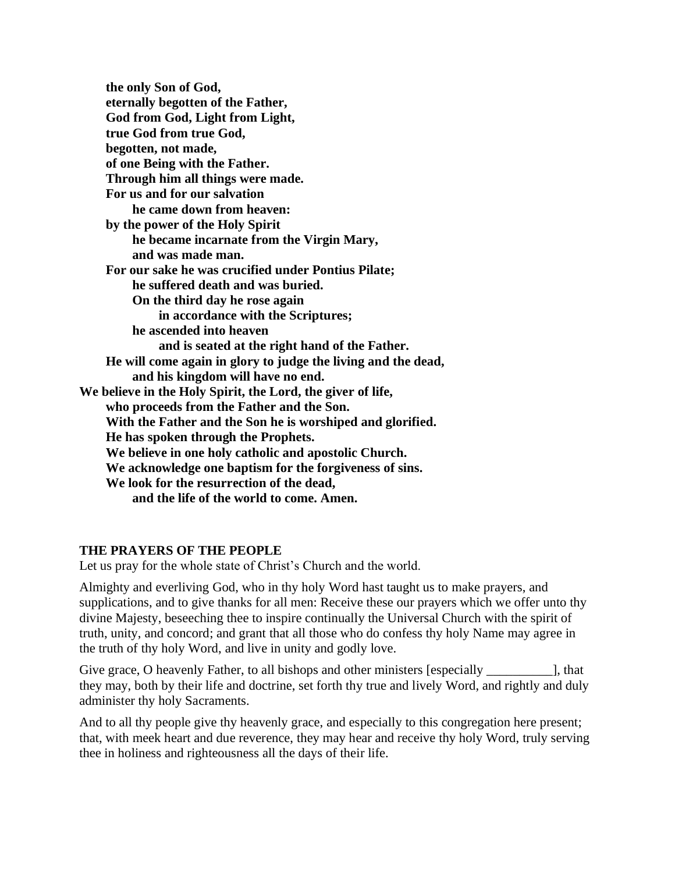**the only Son of God, eternally begotten of the Father, God from God, Light from Light, true God from true God, begotten, not made, of one Being with the Father. Through him all things were made. For us and for our salvation he came down from heaven: by the power of the Holy Spirit he became incarnate from the Virgin Mary, and was made man. For our sake he was crucified under Pontius Pilate; he suffered death and was buried. On the third day he rose again in accordance with the Scriptures; he ascended into heaven and is seated at the right hand of the Father. He will come again in glory to judge the living and the dead, and his kingdom will have no end. We believe in the Holy Spirit, the Lord, the giver of life, who proceeds from the Father and the Son. With the Father and the Son he is worshiped and glorified. He has spoken through the Prophets. We believe in one holy catholic and apostolic Church. We acknowledge one baptism for the forgiveness of sins. We look for the resurrection of the dead, and the life of the world to come. Amen.**

# **THE PRAYERS OF THE PEOPLE**

Let us pray for the whole state of Christ's Church and the world.

Almighty and everliving God, who in thy holy Word hast taught us to make prayers, and supplications, and to give thanks for all men: Receive these our prayers which we offer unto thy divine Majesty, beseeching thee to inspire continually the Universal Church with the spirit of truth, unity, and concord; and grant that all those who do confess thy holy Name may agree in the truth of thy holy Word, and live in unity and godly love.

Give grace, O heavenly Father, to all bishops and other ministers [especially ], that they may, both by their life and doctrine, set forth thy true and lively Word, and rightly and duly administer thy holy Sacraments.

And to all thy people give thy heavenly grace, and especially to this congregation here present; that, with meek heart and due reverence, they may hear and receive thy holy Word, truly serving thee in holiness and righteousness all the days of their life.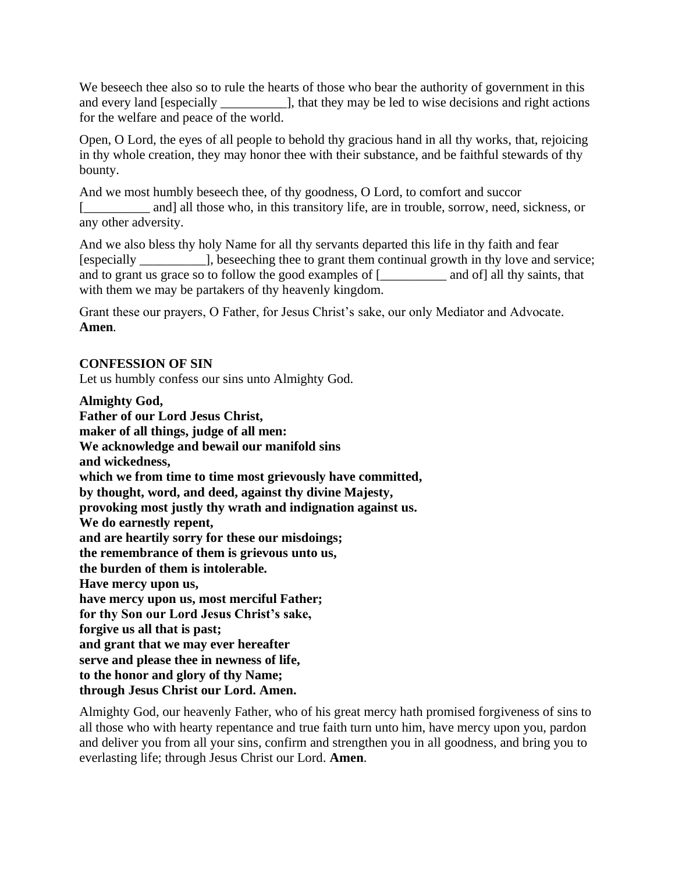We beseech thee also so to rule the hearts of those who bear the authority of government in this and every land [especially \_\_\_\_\_\_\_\_\_\_\_\_], that they may be led to wise decisions and right actions for the welfare and peace of the world.

Open, O Lord, the eyes of all people to behold thy gracious hand in all thy works, that, rejoicing in thy whole creation, they may honor thee with their substance, and be faithful stewards of thy bounty.

And we most humbly beseech thee, of thy goodness, O Lord, to comfort and succor [\_\_\_\_\_\_\_\_\_\_ and] all those who, in this transitory life, are in trouble, sorrow, need, sickness, or any other adversity.

And we also bless thy holy Name for all thy servants departed this life in thy faith and fear [especially \_\_\_\_\_\_\_\_\_\_], beseeching thee to grant them continual growth in thy love and service; and to grant us grace so to follow the good examples of [\_\_\_\_\_\_\_\_\_\_\_ and of] all thy saints, that with them we may be partakers of thy heavenly kingdom.

Grant these our prayers, O Father, for Jesus Christ's sake, our only Mediator and Advocate. **Amen***.*

# **CONFESSION OF SIN**

Let us humbly confess our sins unto Almighty God.

**Almighty God,**

**Father of our Lord Jesus Christ, maker of all things, judge of all men: We acknowledge and bewail our manifold sins and wickedness, which we from time to time most grievously have committed, by thought, word, and deed, against thy divine Majesty, provoking most justly thy wrath and indignation against us. We do earnestly repent, and are heartily sorry for these our misdoings; the remembrance of them is grievous unto us, the burden of them is intolerable. Have mercy upon us, have mercy upon us, most merciful Father; for thy Son our Lord Jesus Christ's sake, forgive us all that is past; and grant that we may ever hereafter serve and please thee in newness of life, to the honor and glory of thy Name; through Jesus Christ our Lord. Amen.**

Almighty God, our heavenly Father, who of his great mercy hath promised forgiveness of sins to all those who with hearty repentance and true faith turn unto him, have mercy upon you, pardon and deliver you from all your sins, confirm and strengthen you in all goodness, and bring you to everlasting life; through Jesus Christ our Lord. **Amen***.*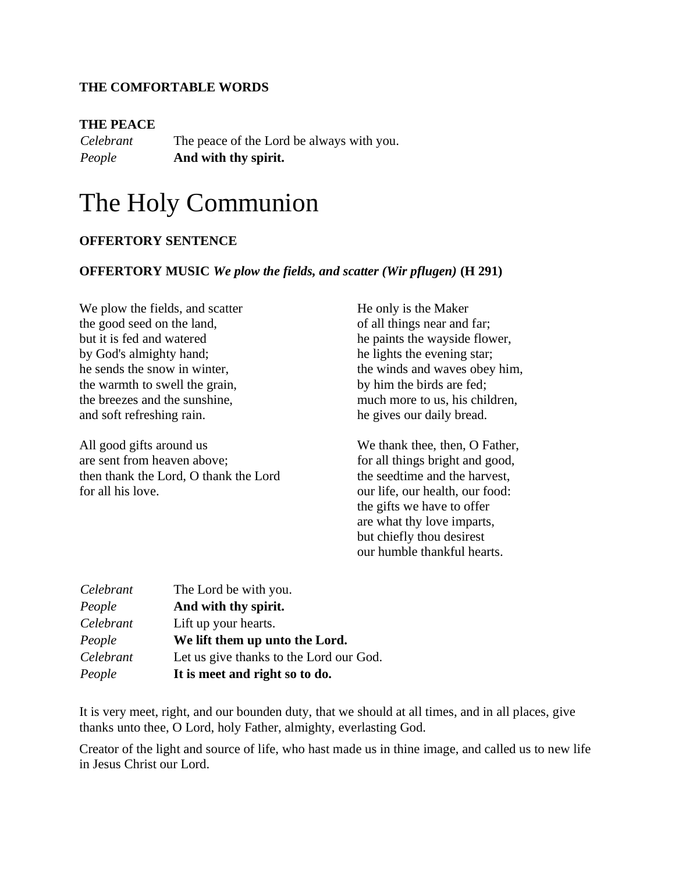### **THE COMFORTABLE WORDS**

### **THE PEACE**

*Celebrant* The peace of the Lord be always with you. *People* **And with thy spirit.**

# The Holy Communion

### **OFFERTORY SENTENCE**

### **OFFERTORY MUSIC** *We plow the fields, and scatter (Wir pflugen)* **(H 291)**

We plow the fields, and scatter the good seed on the land, but it is fed and watered by God's almighty hand; he sends the snow in winter, the warmth to swell the grain, the breezes and the sunshine, and soft refreshing rain.

All good gifts around us are sent from heaven above; then thank the Lord, O thank the Lord for all his love.

He only is the Maker of all things near and far; he paints the wayside flower, he lights the evening star; the winds and waves obey him, by him the birds are fed; much more to us, his children, he gives our daily bread.

We thank thee, then, O Father, for all things bright and good, the seedtime and the harvest, our life, our health, our food: the gifts we have to offer are what thy love imparts, but chiefly thou desirest our humble thankful hearts.

| Celebrant | The Lord be with you.                   |
|-----------|-----------------------------------------|
| People    | And with thy spirit.                    |
| Celebrant | Lift up your hearts.                    |
| People    | We lift them up unto the Lord.          |
| Celebrant | Let us give thanks to the Lord our God. |
| People    | It is meet and right so to do.          |

It is very meet, right, and our bounden duty, that we should at all times, and in all places, give thanks unto thee, O Lord, holy Father, almighty, everlasting God.

Creator of the light and source of life, who hast made us in thine image, and called us to new life in Jesus Christ our Lord.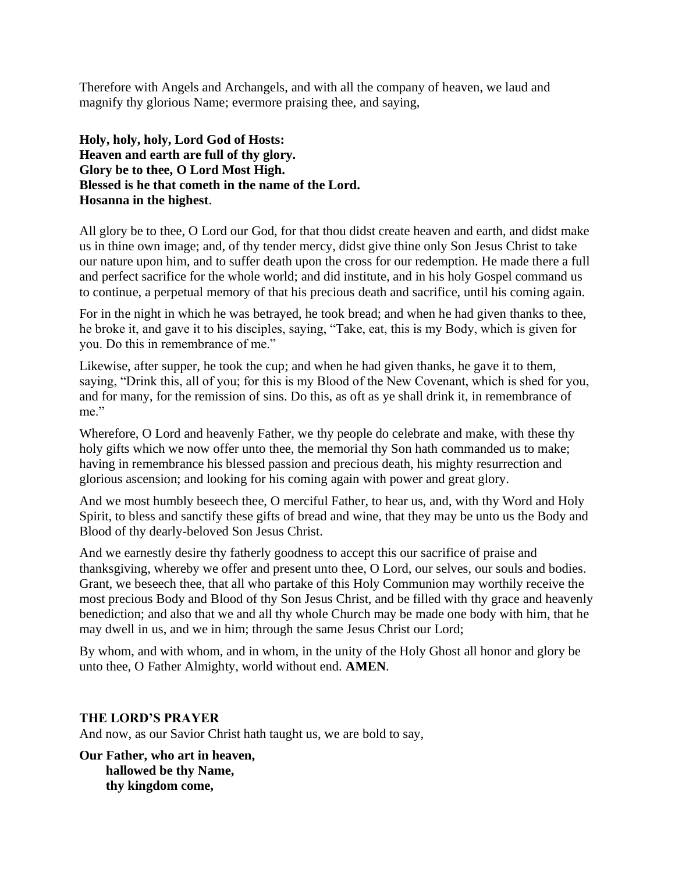Therefore with Angels and Archangels, and with all the company of heaven, we laud and magnify thy glorious Name; evermore praising thee, and saying,

**Holy, holy, holy, Lord God of Hosts: Heaven and earth are full of thy glory. Glory be to thee, O Lord Most High. Blessed is he that cometh in the name of the Lord. Hosanna in the highest**.

All glory be to thee, O Lord our God, for that thou didst create heaven and earth, and didst make us in thine own image; and, of thy tender mercy, didst give thine only Son Jesus Christ to take our nature upon him, and to suffer death upon the cross for our redemption. He made there a full and perfect sacrifice for the whole world; and did institute, and in his holy Gospel command us to continue, a perpetual memory of that his precious death and sacrifice, until his coming again.

For in the night in which he was betrayed, he took bread; and when he had given thanks to thee, he broke it, and gave it to his disciples, saying, "Take, eat, this is my Body, which is given for you. Do this in remembrance of me."

Likewise, after supper, he took the cup; and when he had given thanks, he gave it to them, saying, "Drink this, all of you; for this is my Blood of the New Covenant, which is shed for you, and for many, for the remission of sins. Do this, as oft as ye shall drink it, in remembrance of me."

Wherefore, O Lord and heavenly Father, we thy people do celebrate and make, with these thy holy gifts which we now offer unto thee, the memorial thy Son hath commanded us to make; having in remembrance his blessed passion and precious death, his mighty resurrection and glorious ascension; and looking for his coming again with power and great glory.

And we most humbly beseech thee, O merciful Father, to hear us, and, with thy Word and Holy Spirit, to bless and sanctify these gifts of bread and wine, that they may be unto us the Body and Blood of thy dearly-beloved Son Jesus Christ.

And we earnestly desire thy fatherly goodness to accept this our sacrifice of praise and thanksgiving, whereby we offer and present unto thee, O Lord, our selves, our souls and bodies. Grant, we beseech thee, that all who partake of this Holy Communion may worthily receive the most precious Body and Blood of thy Son Jesus Christ, and be filled with thy grace and heavenly benediction; and also that we and all thy whole Church may be made one body with him, that he may dwell in us, and we in him; through the same Jesus Christ our Lord;

By whom, and with whom, and in whom, in the unity of the Holy Ghost all honor and glory be unto thee, O Father Almighty, world without end. **AMEN***.*

### **THE LORD'S PRAYER**

And now, as our Savior Christ hath taught us, we are bold to say,

**Our Father, who art in heaven, hallowed be thy Name, thy kingdom come,**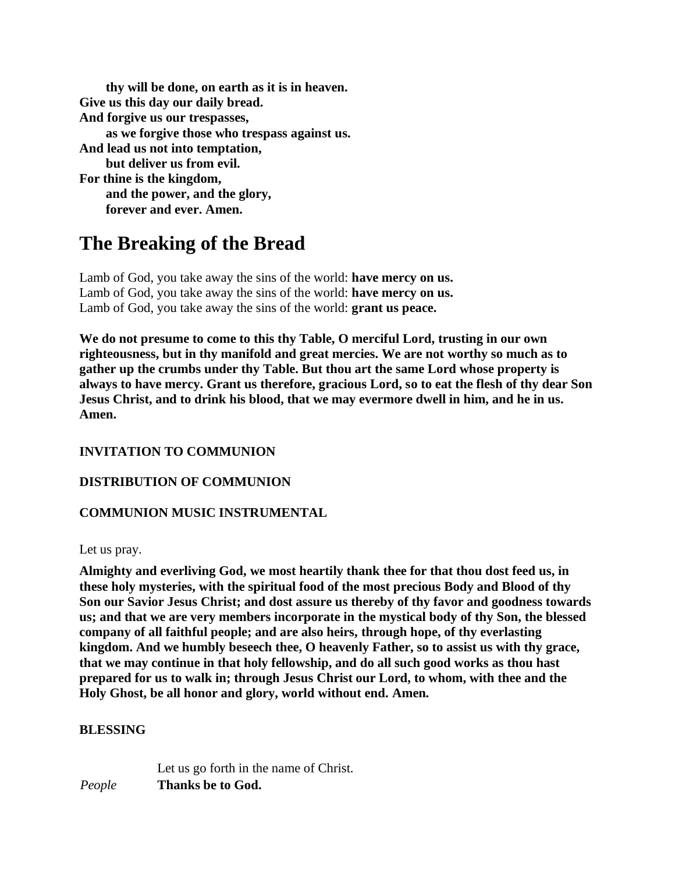**thy will be done, on earth as it is in heaven. Give us this day our daily bread. And forgive us our trespasses, as we forgive those who trespass against us. And lead us not into temptation, but deliver us from evil. For thine is the kingdom, and the power, and the glory, forever and ever. Amen.**

# **The Breaking of the Bread**

Lamb of God, you take away the sins of the world: **have mercy on us.** Lamb of God, you take away the sins of the world: **have mercy on us.** Lamb of God, you take away the sins of the world: **grant us peace.**

**We do not presume to come to this thy Table, O merciful Lord, trusting in our own righteousness, but in thy manifold and great mercies. We are not worthy so much as to gather up the crumbs under thy Table. But thou art the same Lord whose property is always to have mercy. Grant us therefore, gracious Lord, so to eat the flesh of thy dear Son Jesus Christ, and to drink his blood, that we may evermore dwell in him, and he in us. Amen.**

# **INVITATION TO COMMUNION**

# **DISTRIBUTION OF COMMUNION**

# **COMMUNION MUSIC INSTRUMENTAL**

Let us pray.

**Almighty and everliving God, we most heartily thank thee for that thou dost feed us, in these holy mysteries, with the spiritual food of the most precious Body and Blood of thy Son our Savior Jesus Christ; and dost assure us thereby of thy favor and goodness towards us; and that we are very members incorporate in the mystical body of thy Son, the blessed company of all faithful people; and are also heirs, through hope, of thy everlasting kingdom. And we humbly beseech thee, O heavenly Father, so to assist us with thy grace, that we may continue in that holy fellowship, and do all such good works as thou hast prepared for us to walk in; through Jesus Christ our Lord, to whom, with thee and the Holy Ghost, be all honor and glory, world without end. Amen***.*

### **BLESSING**

Let us go forth in the name of Christ. *People* **Thanks be to God.**